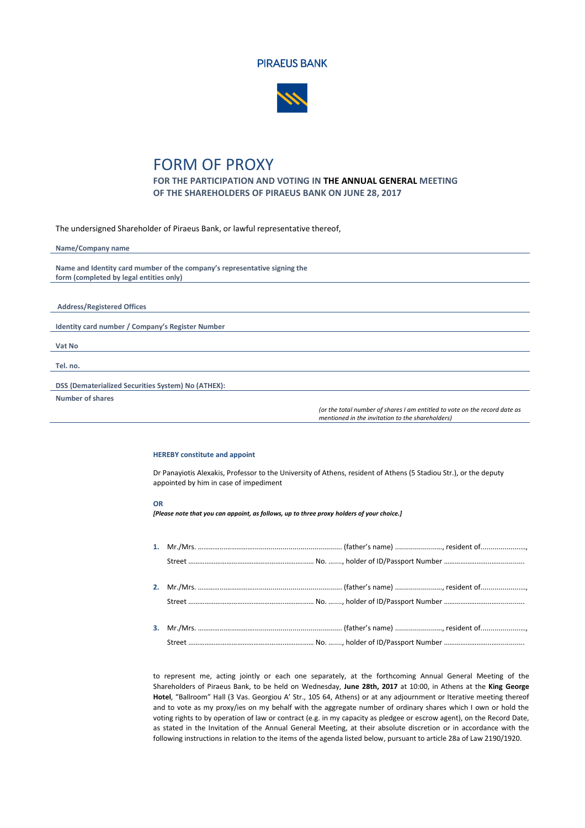



## FORM OF PROXY

**FOR THE PARTICIPATION AND VOTING IN THE ANNUAL GENERAL MEETING OF THE SHAREHOLDERS OF PIRAEUS BANK ON JUNE 28, 2017**

The undersigned Shareholder of Piraeus Bank, or lawful representative thereof,

| Name/Company name                                                         |
|---------------------------------------------------------------------------|
|                                                                           |
| Name and Identity card mumber of the company's representative signing the |
| form (completed by legal entities only)                                   |
|                                                                           |
|                                                                           |
| <b>Address/Registered Offices</b>                                         |
|                                                                           |
| Identity card number / Company's Register Number                          |
|                                                                           |
| Vat No                                                                    |
|                                                                           |
| Tel. no.                                                                  |
|                                                                           |
| DSS (Dematerialized Securities System) No (ATHEX):                        |
| Number of shares                                                          |

*(or the total number of shares I am entitled to vote on the record date as mentioned in the invitation to the shareholders)*

## **HEREBY constitute and appoint**

Dr Panayiotis Alexakis, Professor to the University of Athens, resident of Athens (5 Stadiou Str.), or the deputy appointed by him in case of impediment

## **OR**

*[Please note that you can appoint, as follows, up to three proxy holders of your choice.]*

to represent me, acting jointly or each one separately, at the forthcoming Annual General Meeting of the Shareholders of Piraeus Bank, to be held on Wednesday, **June 28th, 2017** at 10:00, in Athens at the **King George Hotel**, "Ballroom" Hall (3 Vas. Georgiou A' Str., 105 64, Athens) or at any adjournment or Iterative meeting thereof and to vote as my proxy/ies on my behalf with the aggregate number of ordinary shares which I own or hold the voting rights to by operation of law or contract (e.g. in my capacity as pledgee or escrow agent), on the Record Date, as stated in the Invitation of the Annual General Meeting, at their absolute discretion or in accordance with the following instructions in relation to the items of the agenda listed below, pursuant to article 28a of Law 2190/1920.